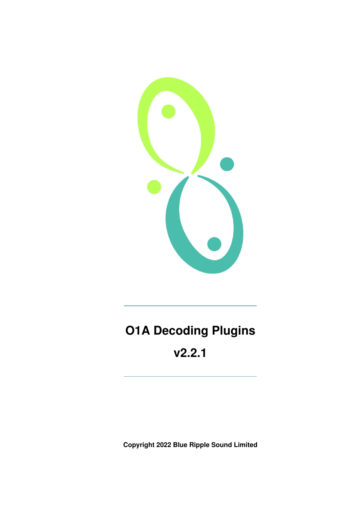

# **O1A Decoding Plugins**

**v2.2.1**

**Copyright 2022 Blue Ripple Sound Limited**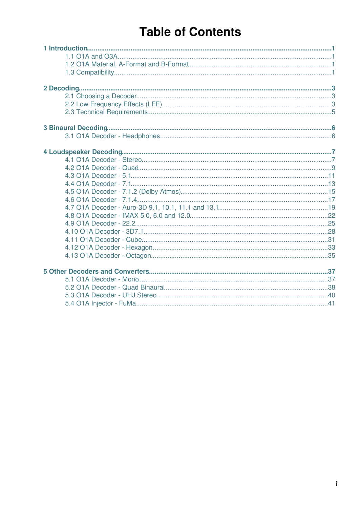## **Table of Contents**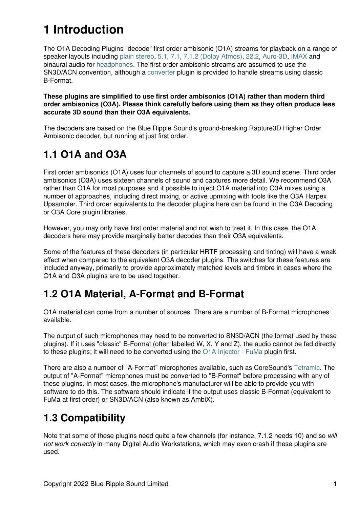## **1 Introduction**

The O1A Decoding Plugins "decode" first order ambisonic (O1A) streams for playback on a range of speaker layouts including [plain stereo](#page-8-1), [5.1,](#page-12-0) [7.1](#page-14-0), [7.1.2 \(Dolby Atmos\),](#page-16-0) [22.2](#page-26-0), [Auro-3D](#page-20-0), [IMAX](#page-23-0) and binaural audio for [headphones.](#page-7-1) The first order ambisonic streams are assumed to use the SN3D/ACN convention, although a [converter](#page-42-0) plugin is provided to handle streams using classic B-Format.

**These plugins are simplified to use first order ambisonics (O1A) rather than modern third order ambisonics (O3A). Please think carefully before using them as they often produce less accurate 3D sound than their O3A equivalents.**

The decoders are based on the Blue Ripple Sound's ground-breaking Rapture3D Higher Order Ambisonic decoder, but running at just first order.

## <span id="page-2-0"></span>**1.1 O1A and O3A**

First order ambisonics (O1A) uses four channels of sound to capture a 3D sound scene. Third order ambisonics (O3A) uses sixteen channels of sound and captures more detail. We recommend O3A rather than O1A for most purposes and it possible to inject O1A material into O3A mixes using a number of approaches, including direct mixing, or active upmixing with tools like the O3A Harpex Upsampler. Third order equivalents to the decoder plugins here can be found in the O3A Decoding or O3A Core plugin libraries.

However, you may only have first order material and not wish to treat it. In this case, the O1A decoders here may provide marginally better decodes than their O3A equivalents.

Some of the features of these decoders (in particular HRTF processing and tinting) will have a weak effect when compared to the equivalent O3A decoder plugins. The switches for these features are included anyway, primarily to provide approximately matched levels and timbre in cases where the O1A and O3A plugins are to be used together.

## <span id="page-2-1"></span>**1.2 O1A Material, A-Format and B-Format**

O1A material can come from a number of sources. There are a number of B-Format microphones available.

The output of such microphones may need to be converted to SN3D/ACN (the format used by these plugins). If it uses "classic" B-Format (often labelled W, X, Y and Z), the audio cannot be fed directly to these plugins; it will need to be converted using the [O1A Injector - FuMa](#page-42-0) plugin first.

There are also a number of "A-Format" microphones available, such as CoreSound's [Tetramic](http://www.core-sound.com/). The output of "A-Format" microphones must be converted to "B-Format" before processing with any of these plugins. In most cases, the microphone's manufacturer will be able to provide you with software to do this. The software should indicate if the output uses classic B-Format (equivalent to FuMa at first order) or SN3D/ACN (also known as AmbiX).

## <span id="page-2-2"></span>**1.3 Compatibility**

Note that some of these plugins need quite a few channels (for instance, 7.1.2 needs 10) and so *will not work correctly* in many Digital Audio Workstations, which may even crash if these plugins are used.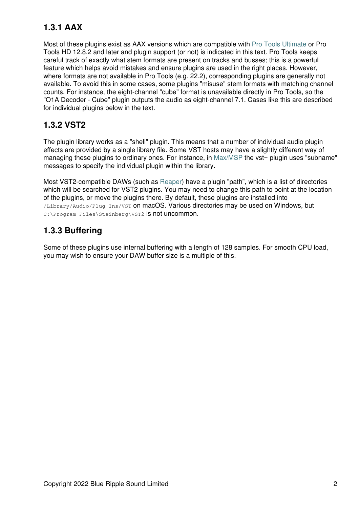## **1.3.1 AAX**

Most of these plugins exist as AAX versions which are compatible with [Pro Tools Ultimate](https://www.avid.com/pro-tools) or Pro Tools HD 12.8.2 and later and plugin support (or not) is indicated in this text. Pro Tools keeps careful track of exactly what stem formats are present on tracks and busses; this is a powerful feature which helps avoid mistakes and ensure plugins are used in the right places. However, where formats are not available in Pro Tools (e.g. 22.2), corresponding plugins are generally not available. To avoid this in some cases, some plugins "misuse" stem formats with matching channel counts. For instance, the eight-channel "cube" format is unavailable directly in Pro Tools, so the "O1A Decoder - Cube" plugin outputs the audio as eight-channel 7.1. Cases like this are described for individual plugins below in the text.

## **1.3.2 VST2**

The plugin library works as a "shell" plugin. This means that a number of individual audio plugin effects are provided by a single library file. Some VST hosts may have a slightly different way of managing these plugins to ordinary ones. For instance, in [Max/MSP](http://cycling74.com) the vst~ plugin uses "subname" messages to specify the individual plugin within the library.

Most VST2-compatible DAWs (such as [Reaper](https://www.reaper.fm)) have a plugin "path", which is a list of directories which will be searched for VST2 plugins. You may need to change this path to point at the location of the plugins, or move the plugins there. By default, these plugins are installed into /Library/Audio/Plug-Ins/VST on macOS. Various directories may be used on Windows, but C:\Program Files\Steinberg\VST2 is not uncommon.

## **1.3.3 Buffering**

Some of these plugins use internal buffering with a length of 128 samples. For smooth CPU load, you may wish to ensure your DAW buffer size is a multiple of this.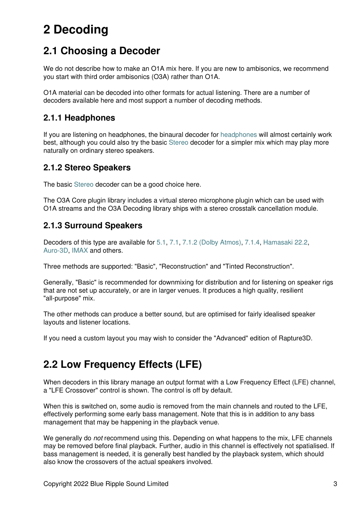## <span id="page-4-0"></span>**2 Decoding**

## <span id="page-4-1"></span>**2.1 Choosing a Decoder**

We do not describe how to make an O1A mix here. If you are new to ambisonics, we recommend you start with third order ambisonics (O3A) rather than O1A.

O1A material can be decoded into other formats for actual listening. There are a number of decoders available here and most support a number of decoding methods.

## **2.1.1 Headphones**

If you are listening on headphones, the binaural decoder for [headphones](#page-7-1) will almost certainly work best, although you could also try the basic [Stereo](#page-8-1) decoder for a simpler mix which may play more naturally on ordinary stereo speakers.

## **2.1.2 Stereo Speakers**

The basic [Stereo](#page-8-1) decoder can be a good choice here.

The O3A Core plugin library includes a virtual stereo microphone plugin which can be used with O1A streams and the O3A Decoding library ships with a stereo crosstalk cancellation module.

## **2.1.3 Surround Speakers**

Decoders of this type are available for [5.1,](#page-12-0) [7.1](#page-14-0), [7.1.2 \(Dolby Atmos\),](#page-16-0) [7.1.4](#page-18-0), [Hamasaki 22.2,](#page-26-0) [Auro-3D,](#page-20-0) [IMAX](#page-23-0) and others.

Three methods are supported: "Basic", "Reconstruction" and "Tinted Reconstruction".

Generally, "Basic" is recommended for downmixing for distribution and for listening on speaker rigs that are not set up accurately, or are in larger venues. It produces a high quality, resilient "all-purpose" mix.

The other methods can produce a better sound, but are optimised for fairly idealised speaker layouts and listener locations.

If you need a custom layout you may wish to consider the "Advanced" edition of Rapture3D.

## <span id="page-4-2"></span>**2.2 Low Frequency Effects (LFE)**

When decoders in this library manage an output format with a Low Frequency Effect (LFE) channel, a "LFE Crossover" control is shown. The control is off by default.

When this is switched on, some audio is removed from the main channels and routed to the LFE, effectively performing some early bass management. Note that this is in addition to any bass management that may be happening in the playback venue.

We generally do *not* recommend using this. Depending on what happens to the mix, LFE channels may be removed before final playback. Further, audio in this channel is effectively not spatialised. If bass management is needed, it is generally best handled by the playback system, which should also know the crossovers of the actual speakers involved.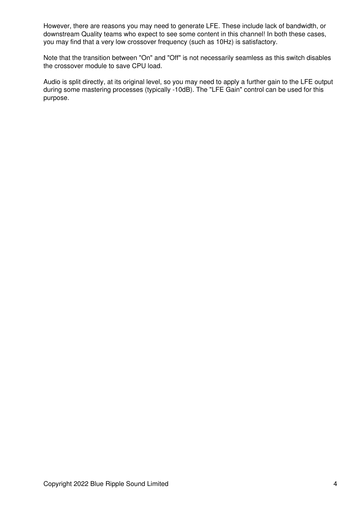However, there are reasons you may need to generate LFE. These include lack of bandwidth, or downstream Quality teams who expect to see some content in this channel! In both these cases, you may find that a very low crossover frequency (such as 10Hz) is satisfactory.

Note that the transition between "On" and "Off" is not necessarily seamless as this switch disables the crossover module to save CPU load.

Audio is split directly, at its original level, so you may need to apply a further gain to the LFE output during some mastering processes (typically -10dB). The "LFE Gain" control can be used for this purpose.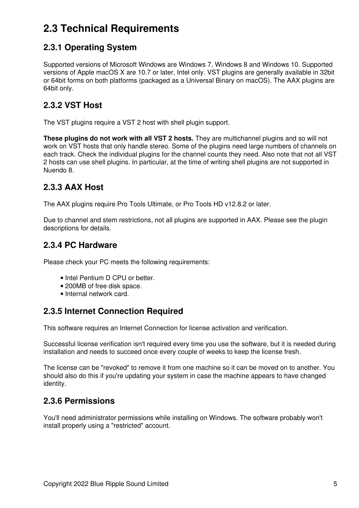## <span id="page-6-0"></span>**2.3 Technical Requirements**

## **2.3.1 Operating System**

Supported versions of Microsoft Windows are Windows 7, Windows 8 and Windows 10. Supported versions of Apple macOS X are 10.7 or later, Intel only. VST plugins are generally available in 32bit or 64bit forms on both platforms (packaged as a Universal Binary on macOS). The AAX plugins are 64bit only.

## **2.3.2 VST Host**

The VST plugins require a VST 2 host with shell plugin support.

**These plugins do not work with all VST 2 hosts.** They are multichannel plugins and so will not work on VST hosts that only handle stereo. Some of the plugins need large numbers of channels on each track. Check the individual plugins for the channel counts they need. Also note that not all VST 2 hosts can use shell plugins. In particular, at the time of writing shell plugins are not supported in Nuendo 8.

## **2.3.3 AAX Host**

The AAX plugins require Pro Tools Ultimate, or Pro Tools HD v12.8.2 or later.

Due to channel and stem restrictions, not all plugins are supported in AAX. Please see the plugin descriptions for details.

## **2.3.4 PC Hardware**

Please check your PC meets the following requirements:

- Intel Pentium D CPU or better.
- 200MB of free disk space.
- Internal network card.

## **2.3.5 Internet Connection Required**

This software requires an Internet Connection for license activation and verification.

Successful license verification isn't required every time you use the software, but it is needed during installation and needs to succeed once every couple of weeks to keep the license fresh.

The license can be "revoked" to remove it from one machine so it can be moved on to another. You should also do this if you're updating your system in case the machine appears to have changed identity.

## **2.3.6 Permissions**

You'll need administrator permissions while installing on Windows. The software probably won't install properly using a "restricted" account.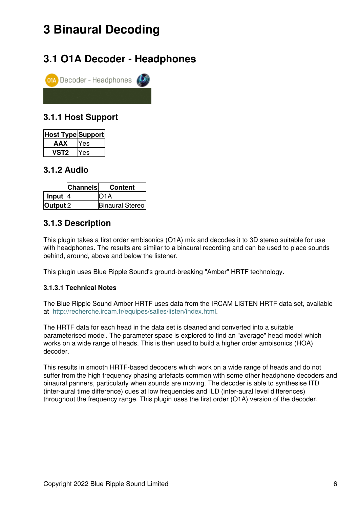## <span id="page-7-0"></span>**3 Binaural Decoding**

## <span id="page-7-1"></span>**3.1 O1A Decoder - Headphones**



## **3.1.1 Host Support**

| Host Type Support |     |
|-------------------|-----|
| AAX               | Yes |
| VST2              | Yes |

## **3.1.2 Audio**

|                     | <b>Channels</b> | <b>Content</b>  |
|---------------------|-----------------|-----------------|
| Input $ 4$          |                 | IO1A            |
| Output <sup>2</sup> |                 | Binaural Stereo |

## **3.1.3 Description**

This plugin takes a first order ambisonics (O1A) mix and decodes it to 3D stereo suitable for use with headphones. The results are similar to a binaural recording and can be used to place sounds behind, around, above and below the listener.

This plugin uses Blue Ripple Sound's ground-breaking "Amber" HRTF technology.

#### **3.1.3.1 Technical Notes**

The Blue Ripple Sound Amber HRTF uses data from the IRCAM LISTEN HRTF data set, available at<http://recherche.ircam.fr/equipes/salles/listen/index.html>.

The HRTF data for each head in the data set is cleaned and converted into a suitable parameterised model. The parameter space is explored to find an "average" head model which works on a wide range of heads. This is then used to build a higher order ambisonics (HOA) decoder.

This results in smooth HRTF-based decoders which work on a wide range of heads and do not suffer from the high frequency phasing artefacts common with some other headphone decoders and binaural panners, particularly when sounds are moving. The decoder is able to synthesise ITD (inter-aural time difference) cues at low frequencies and ILD (inter-aural level differences) throughout the frequency range. This plugin uses the first order (O1A) version of the decoder.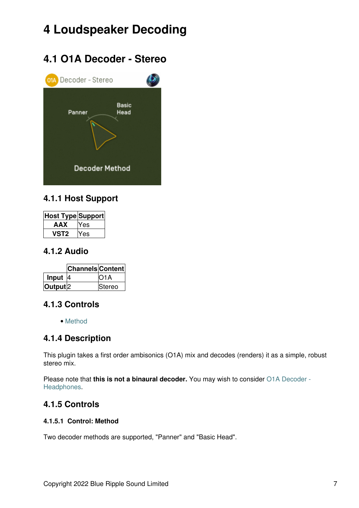## <span id="page-8-0"></span>**4 Loudspeaker Decoding**

## **4.1 O1A Decoder - Stereo**

<span id="page-8-1"></span>

## **4.1.1 Host Support**

| Host Type Support |       |
|-------------------|-------|
| AAX               | Yes   |
| VST2              | 7 A.S |

### **4.1.2 Audio**

|                     | <b>Channels Content</b> |                   |
|---------------------|-------------------------|-------------------|
| Input $ 4 $         |                         | IO <sub>1</sub> A |
| Output <sup>2</sup> |                         | <b>Stereo</b>     |

## **4.1.3 Controls**

• [Method](#page-8-2)

## **4.1.4 Description**

This plugin takes a first order ambisonics (O1A) mix and decodes (renders) it as a simple, robust stereo mix.

Please note that **this is not a binaural decoder.** You may wish to consider [O1A Decoder -](#page-7-1) [Headphones](#page-7-1).

## **4.1.5 Controls**

#### <span id="page-8-2"></span>**4.1.5.1 Control: Method**

Two decoder methods are supported, "Panner" and "Basic Head".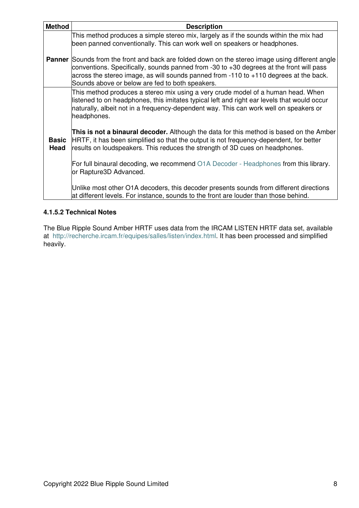| <b>Method</b>        | <b>Description</b>                                                                                                                                                                                                                                                                                                                                                                                                                                                                                                                                                                                                                                                                                                                                                                                                                                               |
|----------------------|------------------------------------------------------------------------------------------------------------------------------------------------------------------------------------------------------------------------------------------------------------------------------------------------------------------------------------------------------------------------------------------------------------------------------------------------------------------------------------------------------------------------------------------------------------------------------------------------------------------------------------------------------------------------------------------------------------------------------------------------------------------------------------------------------------------------------------------------------------------|
|                      | This method produces a simple stereo mix, largely as if the sounds within the mix had<br>been panned conventionally. This can work well on speakers or headphones.<br><b>Panner</b> Sounds from the front and back are folded down on the stereo image using different angle<br>conventions. Specifically, sounds panned from -30 to $+30$ degrees at the front will pass<br>across the stereo image, as will sounds panned from -110 to +110 degrees at the back.<br>Sounds above or below are fed to both speakers.                                                                                                                                                                                                                                                                                                                                            |
| <b>Basic</b><br>Head | This method produces a stereo mix using a very crude model of a human head. When<br>listened to on headphones, this imitates typical left and right ear levels that would occur<br>naturally, albeit not in a frequency-dependent way. This can work well on speakers or<br>headphones.<br>This is not a binaural decoder. Although the data for this method is based on the Amber<br>HRTF, it has been simplified so that the output is not frequency-dependent, for better<br>results on loudspeakers. This reduces the strength of 3D cues on headphones.<br>For full binaural decoding, we recommend O1A Decoder - Headphones from this library.<br>or Rapture3D Advanced.<br>Unlike most other O1A decoders, this decoder presents sounds from different directions<br>at different levels. For instance, sounds to the front are louder than those behind. |

#### **4.1.5.2 Technical Notes**

The Blue Ripple Sound Amber HRTF uses data from the IRCAM LISTEN HRTF data set, available at<http://recherche.ircam.fr/equipes/salles/listen/index.html>. It has been processed and simplified heavily.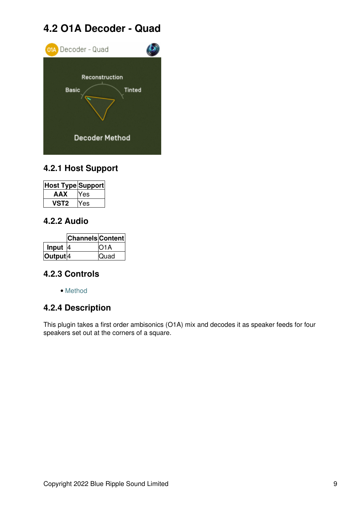## **4.2 O1A Decoder - Quad**

<span id="page-10-0"></span>

## **4.2.1 Host Support**

| <b>Host Type Support</b> |     |
|--------------------------|-----|
| AAX                      | Yes |
| 'ST2                     | Yes |

## **4.2.2 Audio**

|                     | <b>Channels Content</b> |                   |
|---------------------|-------------------------|-------------------|
| Input               | I4                      | IO <sub>1</sub> A |
| Output <sup>4</sup> |                         | Quad              |

## **4.2.3 Controls**

• [Method](#page-11-0)

## **4.2.4 Description**

This plugin takes a first order ambisonics (O1A) mix and decodes it as speaker feeds for four speakers set out at the corners of a square.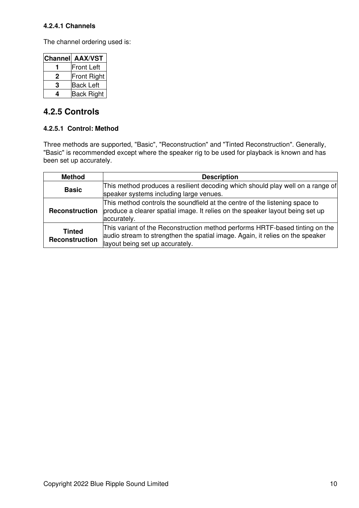#### **4.2.4.1 Channels**

The channel ordering used is:

| <b>Channel</b> | <b>AAX/VST</b>    |
|----------------|-------------------|
|                | <b>Front Left</b> |
| 2              | Front Right       |
| З              | <b>Back Left</b>  |
|                | <b>Back Right</b> |

## **4.2.5 Controls**

#### <span id="page-11-0"></span>**4.2.5.1 Control: Method**

Three methods are supported, "Basic", "Reconstruction" and "Tinted Reconstruction". Generally, "Basic" is recommended except where the speaker rig to be used for playback is known and has been set up accurately.

| <b>Method</b>                   | <b>Description</b>                                                                                                                                                                               |
|---------------------------------|--------------------------------------------------------------------------------------------------------------------------------------------------------------------------------------------------|
| <b>Basic</b>                    | This method produces a resilient decoding which should play well on a range of<br>speaker systems including large venues.                                                                        |
| <b>Reconstruction</b>           | This method controls the soundfield at the centre of the listening space to<br>produce a clearer spatial image. It relies on the speaker layout being set up<br>accurately.                      |
| <b>Tinted</b><br>Reconstruction | This variant of the Reconstruction method performs HRTF-based tinting on the<br>audio stream to strengthen the spatial image. Again, it relies on the speaker<br>layout being set up accurately. |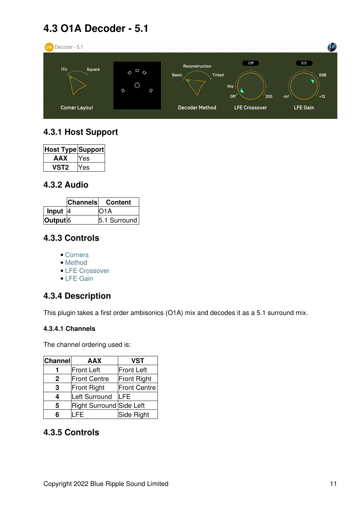## **4.3 O1A Decoder - 5.1**

<span id="page-12-0"></span>

## **4.3.1 Host Support**

| <b>Host Type Support</b> |     |
|--------------------------|-----|
| AAX                      | Yes |
| 'ST2                     | es  |

## **4.3.2 Audio**

|                     | <b>Channels</b> | Content      |
|---------------------|-----------------|--------------|
| Input               |                 | IO1A         |
| Output <sup>6</sup> |                 | 5.1 Surround |

## **4.3.3 Controls**

- [Corners](#page-13-0)
- [Method](#page-13-1)
- [LFE Crossover](#page-13-2)
- [LFE Gain](#page-13-3)

## **4.3.4 Description**

This plugin takes a first order ambisonics (O1A) mix and decodes it as a 5.1 surround mix.

#### **4.3.4.1 Channels**

The channel ordering used is:

| <b>Channel</b> | <b>AAX</b>               | <b>VST</b>          |
|----------------|--------------------------|---------------------|
|                | Front Left               | <b>Front Left</b>   |
| 2              | <b>Front Centre</b>      | Front Right         |
| 3              | Front Right              | <b>Front Centre</b> |
| 4              | Left Surround            | <b>LFE</b>          |
| 5              | Right Surround Side Left |                     |
|                | FF                       | Side Right          |

## **4.3.5 Controls**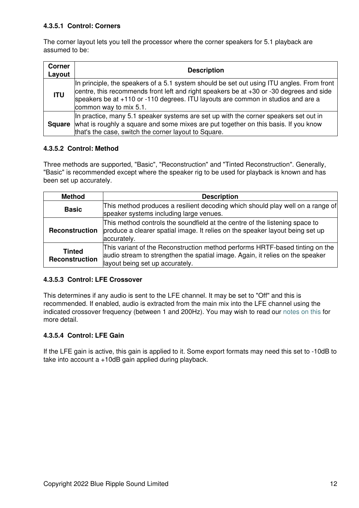#### <span id="page-13-0"></span>**4.3.5.1 Control: Corners**

The corner layout lets you tell the processor where the corner speakers for 5.1 playback are assumed to be:

| <b>Corner</b><br>Layout | <b>Description</b>                                                                                                                                                                                                                                                                                 |
|-------------------------|----------------------------------------------------------------------------------------------------------------------------------------------------------------------------------------------------------------------------------------------------------------------------------------------------|
| <b>ITU</b>              | In principle, the speakers of a 5.1 system should be set out using ITU angles. From front<br>centre, this recommends front left and right speakers be at +30 or -30 degrees and side<br>speakers be at +110 or -110 degrees. ITU layouts are common in studios and are a<br>common way to mix 5.1. |
|                         | In practice, many 5.1 speaker systems are set up with the corner speakers set out in<br><b>Square</b> what is roughly a square and some mixes are put together on this basis. If you know<br>that's the case, switch the corner layout to Square.                                                  |

#### <span id="page-13-1"></span>**4.3.5.2 Control: Method**

Three methods are supported, "Basic", "Reconstruction" and "Tinted Reconstruction". Generally, "Basic" is recommended except where the speaker rig to be used for playback is known and has been set up accurately.

| <b>Method</b>                          | <b>Description</b>                                                                                                                                                                               |  |
|----------------------------------------|--------------------------------------------------------------------------------------------------------------------------------------------------------------------------------------------------|--|
| <b>Basic</b>                           | This method produces a resilient decoding which should play well on a range of<br>speaker systems including large venues.                                                                        |  |
| Reconstruction                         | This method controls the soundfield at the centre of the listening space to<br>produce a clearer spatial image. It relies on the speaker layout being set up<br>accurately.                      |  |
| <b>Tinted</b><br><b>Reconstruction</b> | This variant of the Reconstruction method performs HRTF-based tinting on the<br>audio stream to strengthen the spatial image. Again, it relies on the speaker<br>layout being set up accurately. |  |

#### <span id="page-13-2"></span>**4.3.5.3 Control: LFE Crossover**

This determines if any audio is sent to the LFE channel. It may be set to "Off" and this is recommended. If enabled, audio is extracted from the main mix into the LFE channel using the indicated crossover frequency (between 1 and 200Hz). You may wish to read our [notes on this](#page-4-2) for more detail.

#### <span id="page-13-3"></span>**4.3.5.4 Control: LFE Gain**

If the LFE gain is active, this gain is applied to it. Some export formats may need this set to -10dB to take into account a +10dB gain applied during playback.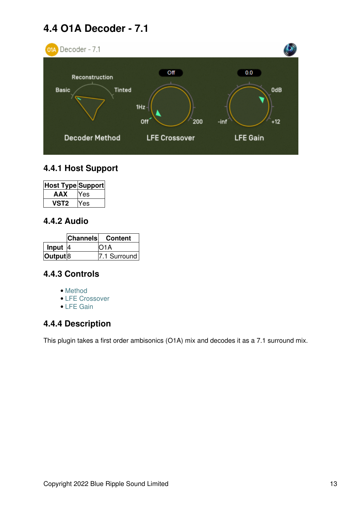## **4.4 O1A Decoder - 7.1**

<span id="page-14-0"></span>

## **4.4.1 Host Support**

| Host Type Support |     |
|-------------------|-----|
| AAX               | Yes |
| /ST2              | 7es |

## **4.4.2 Audio**

|                     | <b>Channels</b> | Content      |
|---------------------|-----------------|--------------|
| Input $ 4$          |                 | IO1A         |
| Output <sup>8</sup> |                 | 7.1 Surround |

## **4.4.3 Controls**

- [Method](#page-15-0)
- [LFE Crossover](#page-15-1)
- [LFE Gain](#page-15-2)

## **4.4.4 Description**

This plugin takes a first order ambisonics (O1A) mix and decodes it as a 7.1 surround mix.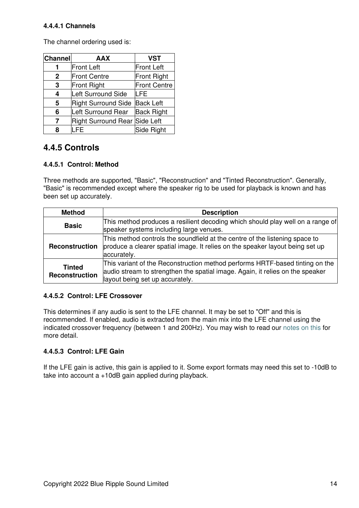#### **4.4.4.1 Channels**

The channel ordering used is:

| <b>Channel</b> | <b>AAX</b>                    | <b>VST</b>          |
|----------------|-------------------------------|---------------------|
|                | <b>Front Left</b>             | <b>Front Left</b>   |
| $\mathbf{2}$   | <b>Front Centre</b>           | <b>Front Right</b>  |
| 3              | Front Right                   | <b>Front Centre</b> |
| 4              | Left Surround Side            | LFE                 |
| 5              | <b>Right Surround Side</b>    | <b>Back Left</b>    |
| 6              | Left Surround Rear            | <b>Back Right</b>   |
| 7              | Right Surround Rear Side Left |                     |
| 8              |                               | Side Right          |

## **4.4.5 Controls**

#### <span id="page-15-0"></span>**4.4.5.1 Control: Method**

Three methods are supported, "Basic", "Reconstruction" and "Tinted Reconstruction". Generally, "Basic" is recommended except where the speaker rig to be used for playback is known and has been set up accurately.

| <b>Method</b>                   | <b>Description</b>                                                                                                                                                                               |  |
|---------------------------------|--------------------------------------------------------------------------------------------------------------------------------------------------------------------------------------------------|--|
| <b>Basic</b>                    | This method produces a resilient decoding which should play well on a range of<br>speaker systems including large venues.                                                                        |  |
| <b>Reconstruction</b>           | This method controls the soundfield at the centre of the listening space to<br>produce a clearer spatial image. It relies on the speaker layout being set up<br>accurately.                      |  |
| <b>Tinted</b><br>Reconstruction | This variant of the Reconstruction method performs HRTF-based tinting on the<br>audio stream to strengthen the spatial image. Again, it relies on the speaker<br>layout being set up accurately. |  |

#### <span id="page-15-1"></span>**4.4.5.2 Control: LFE Crossover**

This determines if any audio is sent to the LFE channel. It may be set to "Off" and this is recommended. If enabled, audio is extracted from the main mix into the LFE channel using the indicated crossover frequency (between 1 and 200Hz). You may wish to read our [notes on this](#page-4-2) for more detail.

#### <span id="page-15-2"></span>**4.4.5.3 Control: LFE Gain**

If the LFE gain is active, this gain is applied to it. Some export formats may need this set to -10dB to take into account a +10dB gain applied during playback.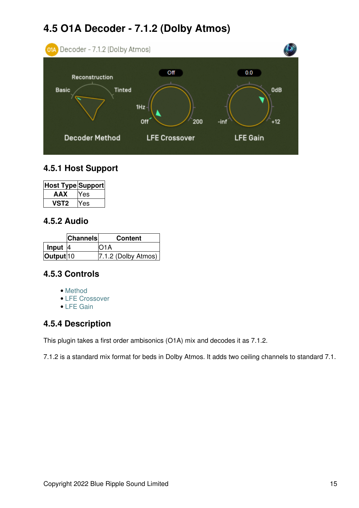## **4.5 O1A Decoder - 7.1.2 (Dolby Atmos)**

<span id="page-16-0"></span>

## **4.5.1 Host Support**

| Host Type Support |     |
|-------------------|-----|
| AAX               | Yes |
| VST2              | Yes |

### **4.5.2 Audio**

|                      | <b>Channels</b> | <b>Content</b>        |
|----------------------|-----------------|-----------------------|
| Input $ 4 $          |                 | IO1A                  |
| Output <sup>10</sup> |                 | $7.1.2$ (Dolby Atmos) |

## **4.5.3 Controls**

- [Method](#page-17-0)
- [LFE Crossover](#page-17-1)
- [LFE Gain](#page-17-2)

## **4.5.4 Description**

This plugin takes a first order ambisonics (O1A) mix and decodes it as 7.1.2.

7.1.2 is a standard mix format for beds in Dolby Atmos. It adds two ceiling channels to standard 7.1.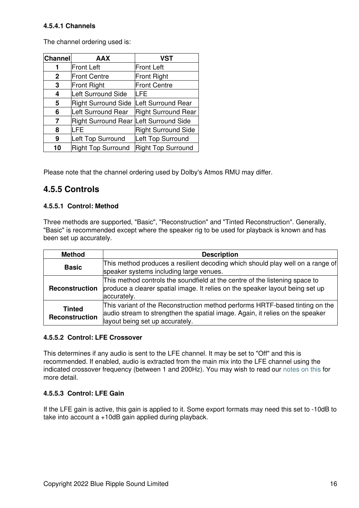#### **4.5.4.1 Channels**

The channel ordering used is:

| <b>Channel</b> | <b>AAX</b>                 | <b>VST</b>                 |
|----------------|----------------------------|----------------------------|
| 1              | <b>Front Left</b>          | Front Left                 |
| $\mathbf{2}$   | <b>Front Centre</b>        | <b>Front Right</b>         |
| 3              | Front Right                | <b>Front Centre</b>        |
| 4              | Left Surround Side         | LFE                        |
| 5              | <b>Right Surround Side</b> | Left Surround Rear         |
| 6              | Left Surround Rear         | <b>Right Surround Rear</b> |
| 7              | <b>Right Surround Rear</b> | Left Surround Side         |
| 8              | LFE                        | Right Surround Side        |
| 9              | Left Top Surround          | Left Top Surround          |
| 10             | <b>Right Top Surround</b>  | Right Top Surround         |

Please note that the channel ordering used by Dolby's Atmos RMU may differ.

## **4.5.5 Controls**

#### <span id="page-17-0"></span>**4.5.5.1 Control: Method**

Three methods are supported, "Basic", "Reconstruction" and "Tinted Reconstruction". Generally, "Basic" is recommended except where the speaker rig to be used for playback is known and has been set up accurately.

| <b>Method</b>                   | <b>Description</b>                                                                                                                                                                               |  |
|---------------------------------|--------------------------------------------------------------------------------------------------------------------------------------------------------------------------------------------------|--|
| <b>Basic</b>                    | This method produces a resilient decoding which should play well on a range of<br>speaker systems including large venues.                                                                        |  |
| <b>Reconstruction</b>           | This method controls the soundfield at the centre of the listening space to<br>produce a clearer spatial image. It relies on the speaker layout being set up<br>accurately.                      |  |
| <b>Tinted</b><br>Reconstruction | This variant of the Reconstruction method performs HRTF-based tinting on the<br>audio stream to strengthen the spatial image. Again, it relies on the speaker<br>layout being set up accurately. |  |

#### <span id="page-17-1"></span>**4.5.5.2 Control: LFE Crossover**

This determines if any audio is sent to the LFE channel. It may be set to "Off" and this is recommended. If enabled, audio is extracted from the main mix into the LFE channel using the indicated crossover frequency (between 1 and 200Hz). You may wish to read our [notes on this](#page-4-2) for more detail.

#### <span id="page-17-2"></span>**4.5.5.3 Control: LFE Gain**

If the LFE gain is active, this gain is applied to it. Some export formats may need this set to -10dB to take into account a +10dB gain applied during playback.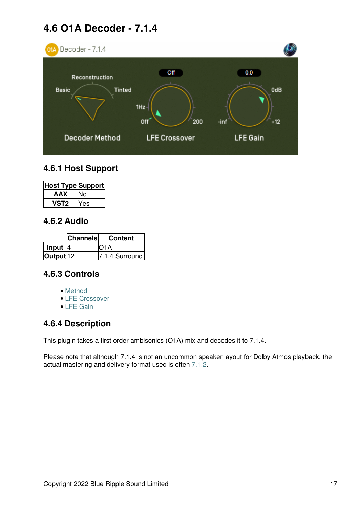## **4.6 O1A Decoder - 7.1.4**

<span id="page-18-0"></span>

### **4.6.1 Host Support**

| <b>Host Type Support</b> |     |
|--------------------------|-----|
| AAX                      |     |
| VST2                     | Yes |

### **4.6.2 Audio**

|           | <b>Channels</b> | <b>Content</b>   |
|-----------|-----------------|------------------|
| Input     |                 | O1A              |
| Output 12 |                 | $7.1.4$ Surround |

## **4.6.3 Controls**

- [Method](#page-19-0)
- [LFE Crossover](#page-19-1)
- [LFE Gain](#page-19-2)

## **4.6.4 Description**

This plugin takes a first order ambisonics (O1A) mix and decodes it to 7.1.4.

Please note that although 7.1.4 is not an uncommon speaker layout for Dolby Atmos playback, the actual mastering and delivery format used is often [7.1.2](#page-16-0).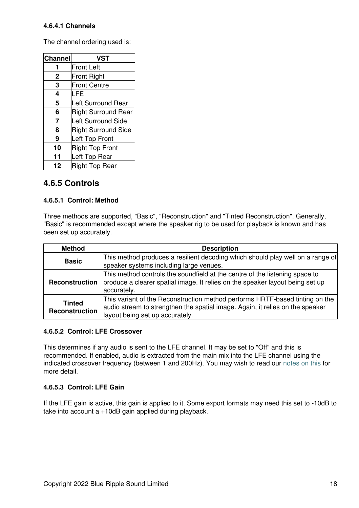#### **4.6.4.1 Channels**

The channel ordering used is:

| Channel     | <b>VST</b>                 |  |
|-------------|----------------------------|--|
|             | <b>Front Left</b>          |  |
| $\mathbf 2$ | <b>Front Right</b>         |  |
| 3           | <b>Front Centre</b>        |  |
| 4           | <b>LFE</b>                 |  |
| 5           | Left Surround Rear         |  |
| 6           | <b>Right Surround Rear</b> |  |
| 7           | <b>Left Surround Side</b>  |  |
| 8           | <b>Right Surround Side</b> |  |
| 9           | Left Top Front             |  |
| 10          | <b>Right Top Front</b>     |  |
| 11          | Left Top Rear              |  |
| 12          | <b>Right Top Rear</b>      |  |

### **4.6.5 Controls**

#### <span id="page-19-0"></span>**4.6.5.1 Control: Method**

Three methods are supported, "Basic", "Reconstruction" and "Tinted Reconstruction". Generally, "Basic" is recommended except where the speaker rig to be used for playback is known and has been set up accurately.

| <b>Method</b>                   | <b>Description</b>                                                                                                                                                                               |
|---------------------------------|--------------------------------------------------------------------------------------------------------------------------------------------------------------------------------------------------|
| <b>Basic</b>                    | This method produces a resilient decoding which should play well on a range of<br>speaker systems including large venues.                                                                        |
| <b>Reconstruction</b>           | This method controls the soundfield at the centre of the listening space to<br>produce a clearer spatial image. It relies on the speaker layout being set up<br>accurately.                      |
| <b>Tinted</b><br>Reconstruction | This variant of the Reconstruction method performs HRTF-based tinting on the<br>audio stream to strengthen the spatial image. Again, it relies on the speaker<br>layout being set up accurately. |

#### <span id="page-19-1"></span>**4.6.5.2 Control: LFE Crossover**

This determines if any audio is sent to the LFE channel. It may be set to "Off" and this is recommended. If enabled, audio is extracted from the main mix into the LFE channel using the indicated crossover frequency (between 1 and 200Hz). You may wish to read our [notes on this](#page-4-2) for more detail.

#### <span id="page-19-2"></span>**4.6.5.3 Control: LFE Gain**

If the LFE gain is active, this gain is applied to it. Some export formats may need this set to -10dB to take into account a +10dB gain applied during playback.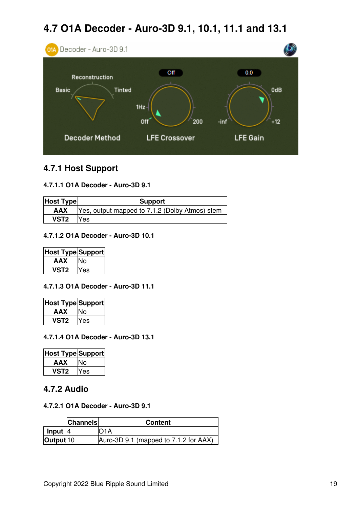## **4.7 O1A Decoder - Auro-3D 9.1, 10.1, 11.1 and 13.1**

<span id="page-20-0"></span>

### **4.7.1 Host Support**

#### **4.7.1.1 O1A Decoder - Auro-3D 9.1**

| <b>Host Type</b> | <b>Support</b>                                              |  |  |
|------------------|-------------------------------------------------------------|--|--|
|                  | <b>AAX</b>   Yes, output mapped to 7.1.2 (Dolby Atmos) stem |  |  |
| VST <sub>2</sub> | Yes                                                         |  |  |

#### **4.7.1.2 O1A Decoder - Auro-3D 10.1**

| Host Type Support |            |  |
|-------------------|------------|--|
| AAX               |            |  |
| VST2              | <b>Yes</b> |  |

#### **4.7.1.3 O1A Decoder - Auro-3D 11.1**

| Host Type Support |     |  |
|-------------------|-----|--|
| AAX               |     |  |
| vst2              | Yes |  |

#### **4.7.1.4 O1A Decoder - Auro-3D 13.1**

| <b>Host Type Support</b> |     |  |
|--------------------------|-----|--|
| <b>AAX</b>               | N٥  |  |
| VST2                     | 'es |  |

#### **4.7.2 Audio**

#### **4.7.2.1 O1A Decoder - Auro-3D 9.1**

|                        | <b>Channels</b> | <b>Content</b>                        |
|------------------------|-----------------|---------------------------------------|
| $\blacksquare$ Input 4 |                 | IO1A                                  |
| Output <sup>10</sup>   |                 | Auro-3D 9.1 (mapped to 7.1.2 for AAX) |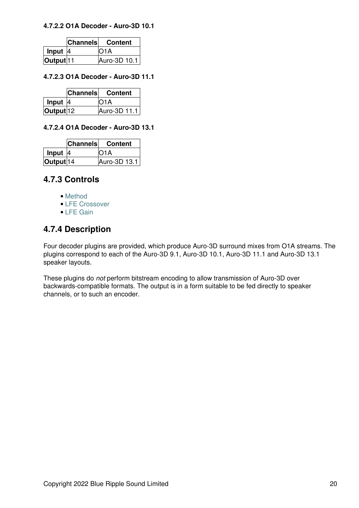#### **4.7.2.2 O1A Decoder - Auro-3D 10.1**

|                      | <b>Channels</b> | <b>Content</b> |
|----------------------|-----------------|----------------|
| Input $ 4 $          |                 | IO1A           |
| Output <sup>11</sup> |                 | Auro-3D 10.1   |

#### **4.7.2.3 O1A Decoder - Auro-3D 11.1**

|                      | <b>Channels</b> | <b>Content</b> |
|----------------------|-----------------|----------------|
| Input $ 4 $          |                 | IO1A           |
| Output <sup>12</sup> |                 | Auro-3D 11.1   |

#### **4.7.2.4 O1A Decoder - Auro-3D 13.1**

|                      | <b>Channels</b> | <b>Content</b> |
|----------------------|-----------------|----------------|
| Input                |                 | IO1A           |
| Output <sup>14</sup> |                 | Auro-3D 13.1   |

### **4.7.3 Controls**

- [Method](#page-22-0)
- [LFE Crossover](#page-22-1)
- [LFE Gain](#page-22-2)

## **4.7.4 Description**

Four decoder plugins are provided, which produce Auro-3D surround mixes from O1A streams. The plugins correspond to each of the Auro-3D 9.1, Auro-3D 10.1, Auro-3D 11.1 and Auro-3D 13.1 speaker layouts.

These plugins do *not* perform bitstream encoding to allow transmission of Auro-3D over backwards-compatible formats. The output is in a form suitable to be fed directly to speaker channels, or to such an encoder.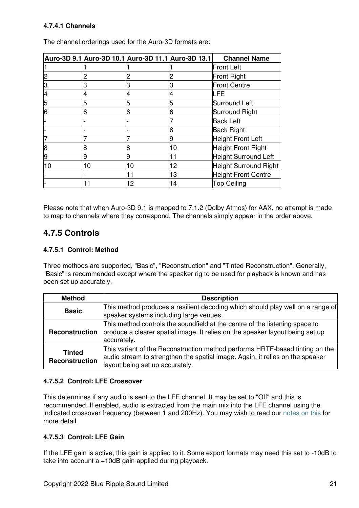#### **4.7.4.1 Channels**

|    |    | Auro-3D 9.1 Auro-3D 10.1 Auro-3D 11.1 Auro-3D 13.1 |    | <b>Channel Name</b>        |
|----|----|----------------------------------------------------|----|----------------------------|
|    |    |                                                    |    | <b>Front Left</b>          |
|    |    |                                                    |    | <b>Front Right</b>         |
| З  |    | 3                                                  |    | <b>Front Centre</b>        |
| 4  |    | 4                                                  |    | LFE                        |
| 5  |    | 5                                                  | 5  | Surround Left              |
| 6  | 6  | 6                                                  | 6  | Surround Right             |
|    |    |                                                    |    | <b>Back Left</b>           |
|    |    |                                                    | 8  | <b>Back Right</b>          |
|    |    |                                                    | 9  | Height Front Left          |
| 8  | 8  | 8                                                  | 10 | <b>Height Front Right</b>  |
| 9  |    | 9                                                  | 11 | Height Surround Left       |
| 10 | 10 | 10                                                 | 12 | Height Surround Right      |
|    |    | 11                                                 | 13 | <b>Height Front Centre</b> |
|    |    | 12                                                 | 14 | <b>Top Ceiling</b>         |

The channel orderings used for the Auro-3D formats are:

Please note that when Auro-3D 9.1 is mapped to 7.1.2 (Dolby Atmos) for AAX, no attempt is made to map to channels where they correspond. The channels simply appear in the order above.

## **4.7.5 Controls**

#### <span id="page-22-0"></span>**4.7.5.1 Control: Method**

Three methods are supported, "Basic", "Reconstruction" and "Tinted Reconstruction". Generally, "Basic" is recommended except where the speaker rig to be used for playback is known and has been set up accurately.

| <b>Method</b>                          | <b>Description</b>                                                                                                                                                                               |  |
|----------------------------------------|--------------------------------------------------------------------------------------------------------------------------------------------------------------------------------------------------|--|
| <b>Basic</b>                           | This method produces a resilient decoding which should play well on a range of<br>speaker systems including large venues.                                                                        |  |
| Reconstruction                         | This method controls the soundfield at the centre of the listening space to<br>produce a clearer spatial image. It relies on the speaker layout being set up<br>accurately.                      |  |
| <b>Tinted</b><br><b>Reconstruction</b> | This variant of the Reconstruction method performs HRTF-based tinting on the<br>audio stream to strengthen the spatial image. Again, it relies on the speaker<br>layout being set up accurately. |  |

#### <span id="page-22-1"></span>**4.7.5.2 Control: LFE Crossover**

This determines if any audio is sent to the LFE channel. It may be set to "Off" and this is recommended. If enabled, audio is extracted from the main mix into the LFE channel using the indicated crossover frequency (between 1 and 200Hz). You may wish to read our [notes on this](#page-4-2) for more detail.

#### <span id="page-22-2"></span>**4.7.5.3 Control: LFE Gain**

If the LFE gain is active, this gain is applied to it. Some export formats may need this set to -10dB to take into account a +10dB gain applied during playback.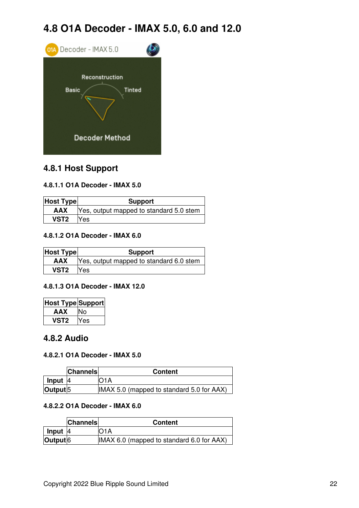## **4.8 O1A Decoder - IMAX 5.0, 6.0 and 12.0**

<span id="page-23-0"></span>

## **4.8.1 Host Support**

#### **4.8.1.1 O1A Decoder - IMAX 5.0**

| <b>Host Type</b> | <b>Support</b>                          |  |
|------------------|-----------------------------------------|--|
| AAX              | Yes, output mapped to standard 5.0 stem |  |
| VST <sub>2</sub> | <b>Yes</b>                              |  |

#### **4.8.1.2 O1A Decoder - IMAX 6.0**

| <b>Host Type</b> | <b>Support</b>                          |  |
|------------------|-----------------------------------------|--|
| AAX              | Yes, output mapped to standard 6.0 stem |  |
| VST2 Yes         |                                         |  |

#### **4.8.1.3 O1A Decoder - IMAX 12.0**

| Host Type Support |      |
|-------------------|------|
| AAX               | N٥   |
| VST2              | IYes |

#### **4.8.2 Audio**

#### **4.8.2.1 O1A Decoder - IMAX 5.0**

|                     | <b>Channels</b> | <b>Content</b>                            |
|---------------------|-----------------|-------------------------------------------|
| $l$ Input $ 4 $     |                 | 71 A                                      |
| Output <sup>5</sup> |                 | IMAX 5.0 (mapped to standard 5.0 for AAX) |

#### **4.8.2.2 O1A Decoder - IMAX 6.0**

|                     | <b>Channels</b> | <b>Content</b>                            |
|---------------------|-----------------|-------------------------------------------|
| $lnput$ 4           |                 | IO1A                                      |
| Output <sup>6</sup> |                 | IMAX 6.0 (mapped to standard 6.0 for AAX) |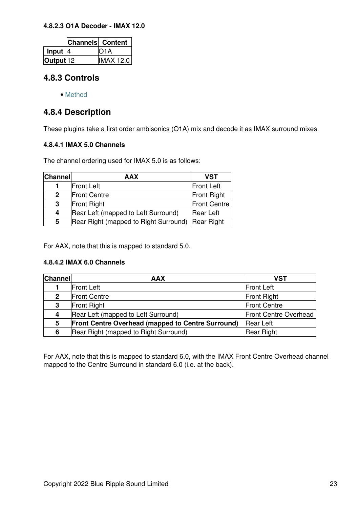#### **4.8.2.3 O1A Decoder - IMAX 12.0**

|                      | <b>Channels Content</b> |                  |
|----------------------|-------------------------|------------------|
| Input $ 4$           |                         | IO1A             |
| Output <sup>12</sup> |                         | <b>IMAX 12.0</b> |

## **4.8.3 Controls**

• [Method](#page-25-0)

### **4.8.4 Description**

These plugins take a first order ambisonics (O1A) mix and decode it as IMAX surround mixes.

#### **4.8.4.1 IMAX 5.0 Channels**

The channel ordering used for IMAX 5.0 is as follows:

| Channel      | <b>AAX</b>                            | <b>VST</b>         |
|--------------|---------------------------------------|--------------------|
|              | <b>Front Left</b>                     | <b>Front Left</b>  |
| $\mathbf{2}$ | <b>Front Centre</b>                   | <b>Front Right</b> |
| 3            | <b>Front Right</b>                    | Front Centre       |
| 4            | Rear Left (mapped to Left Surround)   | <b>Rear Left</b>   |
| 5            | Rear Right (mapped to Right Surround) | <b>Rear Right</b>  |

For AAX, note that this is mapped to standard 5.0.

#### **4.8.4.2 IMAX 6.0 Channels**

| <b>Channel</b> | <b>AAX</b>                                                                   | <b>VST</b>                   |
|----------------|------------------------------------------------------------------------------|------------------------------|
|                | Front Left                                                                   | <b>Front Left</b>            |
| $\mathbf{2}$   | <b>Front Centre</b>                                                          | <b>Front Right</b>           |
| 3              | <b>Front Centre</b><br><b>Front Right</b>                                    |                              |
| 4              | Rear Left (mapped to Left Surround)                                          | <b>Front Centre Overhead</b> |
| 5              | <b>Front Centre Overhead (mapped to Centre Surround)</b><br><b>Rear Left</b> |                              |
| 6              | Rear Right (mapped to Right Surround)                                        | Rear Right                   |

For AAX, note that this is mapped to standard 6.0, with the IMAX Front Centre Overhead channel mapped to the Centre Surround in standard 6.0 (i.e. at the back).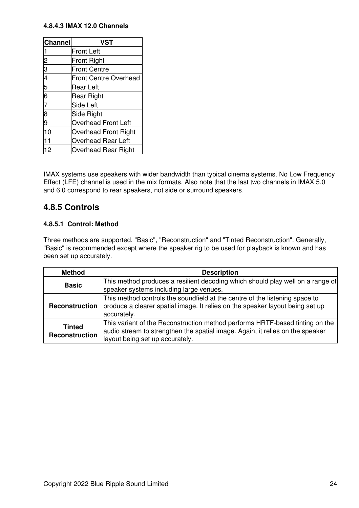#### **4.8.4.3 IMAX 12.0 Channels**

| Channel   | <b>VST</b>                   |
|-----------|------------------------------|
|           | <b>Front Left</b>            |
| 123456789 | <b>Front Right</b>           |
|           | <b>Front Centre</b>          |
|           | <b>Front Centre Overhead</b> |
|           | <b>Rear Left</b>             |
|           | <b>Rear Right</b>            |
|           | <b>Side Left</b>             |
|           | Side Right                   |
|           | <b>Overhead Front Left</b>   |
| 10        | <b>Overhead Front Right</b>  |
| 11        | <b>Overhead Rear Left</b>    |
| 12        | <b>Overhead Rear Right</b>   |

IMAX systems use speakers with wider bandwidth than typical cinema systems. No Low Frequency Effect (LFE) channel is used in the mix formats. Also note that the last two channels in IMAX 5.0 and 6.0 correspond to rear speakers, not side or surround speakers.

## **4.8.5 Controls**

#### <span id="page-25-0"></span>**4.8.5.1 Control: Method**

Three methods are supported, "Basic", "Reconstruction" and "Tinted Reconstruction". Generally, "Basic" is recommended except where the speaker rig to be used for playback is known and has been set up accurately.

| <b>Method</b>                   | <b>Description</b>                                                                                                                                                                               |  |
|---------------------------------|--------------------------------------------------------------------------------------------------------------------------------------------------------------------------------------------------|--|
| <b>Basic</b>                    | This method produces a resilient decoding which should play well on a range of<br>speaker systems including large venues.                                                                        |  |
| Reconstruction                  | This method controls the soundfield at the centre of the listening space to<br>produce a clearer spatial image. It relies on the speaker layout being set up<br>accurately.                      |  |
| <b>Tinted</b><br>Reconstruction | This variant of the Reconstruction method performs HRTF-based tinting on the<br>audio stream to strengthen the spatial image. Again, it relies on the speaker<br>layout being set up accurately. |  |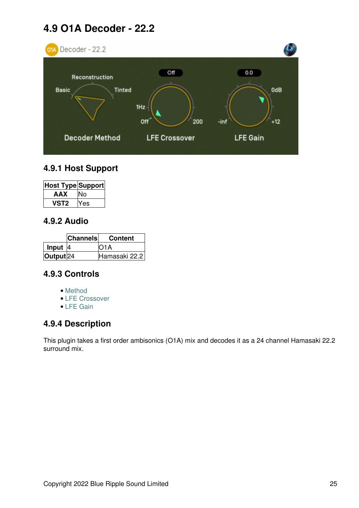## **4.9 O1A Decoder - 22.2**

<span id="page-26-0"></span>

## **4.9.1 Host Support**

| <b>Host Type Support</b> |     |
|--------------------------|-----|
| AAX                      |     |
| VST2                     | Yes |

### **4.9.2 Audio**

|                      | <b>Channels</b> | <b>Content</b> |
|----------------------|-----------------|----------------|
| Input                |                 | IO1A           |
| Output <sup>24</sup> |                 | Hamasaki 22.2  |

## **4.9.3 Controls**

- [Method](#page-27-0)
- [LFE Crossover](#page-28-0)
- [LFE Gain](#page-28-1)

## **4.9.4 Description**

This plugin takes a first order ambisonics (O1A) mix and decodes it as a 24 channel Hamasaki 22.2 surround mix.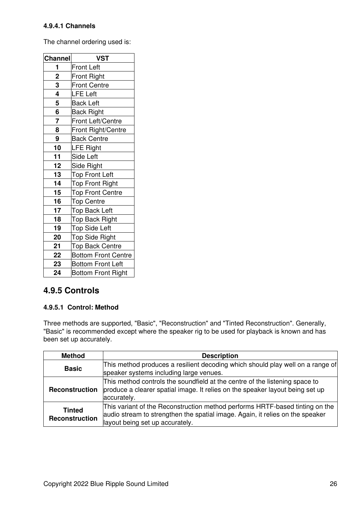#### **4.9.4.1 Channels**

The channel ordering used is:

| <b>Channel</b>          | <b>VST</b>                 |
|-------------------------|----------------------------|
| 1                       | <b>Front Left</b>          |
| $\overline{\mathbf{c}}$ | <b>Front Right</b>         |
| 3                       | <b>Front Centre</b>        |
| 4                       | <b>LFE Left</b>            |
| 5                       | <b>Back Left</b>           |
| 6                       | <b>Back Right</b>          |
| $\overline{7}$          | Front Left/Centre          |
| 8                       | Front Right/Centre         |
| 9                       | <b>Back Centre</b>         |
| 10                      | <b>LFE Right</b>           |
| 11                      | Side Left                  |
| 12                      | Side Right                 |
| 13                      | <b>Top Front Left</b>      |
| 14                      | <b>Top Front Right</b>     |
| 15                      | <b>Top Front Centre</b>    |
| 16                      | <b>Top Centre</b>          |
| 17                      | <b>Top Back Left</b>       |
| 18                      | Top Back Right             |
| 19                      | <b>Top Side Left</b>       |
| 20                      | <b>Top Side Right</b>      |
| 21                      | <b>Top Back Centre</b>     |
| 22                      | <b>Bottom Front Centre</b> |
| 23                      | <b>Bottom Front Left</b>   |
| 24                      | <b>Bottom Front Right</b>  |

## **4.9.5 Controls**

#### <span id="page-27-0"></span>**4.9.5.1 Control: Method**

Three methods are supported, "Basic", "Reconstruction" and "Tinted Reconstruction". Generally, "Basic" is recommended except where the speaker rig to be used for playback is known and has been set up accurately.

| <b>Method</b>                          | <b>Description</b>                                                                                                                                                                               |
|----------------------------------------|--------------------------------------------------------------------------------------------------------------------------------------------------------------------------------------------------|
| <b>Basic</b>                           | This method produces a resilient decoding which should play well on a range of<br>speaker systems including large venues.                                                                        |
| <b>Reconstruction</b>                  | This method controls the soundfield at the centre of the listening space to<br>produce a clearer spatial image. It relies on the speaker layout being set up<br>accurately.                      |
| <b>Tinted</b><br><b>Reconstruction</b> | This variant of the Reconstruction method performs HRTF-based tinting on the<br>audio stream to strengthen the spatial image. Again, it relies on the speaker<br>layout being set up accurately. |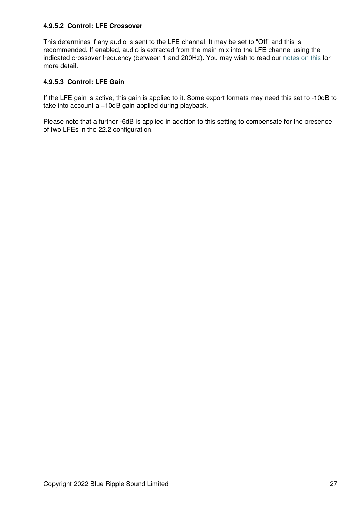#### <span id="page-28-0"></span>**4.9.5.2 Control: LFE Crossover**

This determines if any audio is sent to the LFE channel. It may be set to "Off" and this is recommended. If enabled, audio is extracted from the main mix into the LFE channel using the indicated crossover frequency (between 1 and 200Hz). You may wish to read our [notes on this](#page-4-2) for more detail.

#### <span id="page-28-1"></span>**4.9.5.3 Control: LFE Gain**

If the LFE gain is active, this gain is applied to it. Some export formats may need this set to -10dB to take into account a +10dB gain applied during playback.

Please note that a further -6dB is applied in addition to this setting to compensate for the presence of two LFEs in the 22.2 configuration.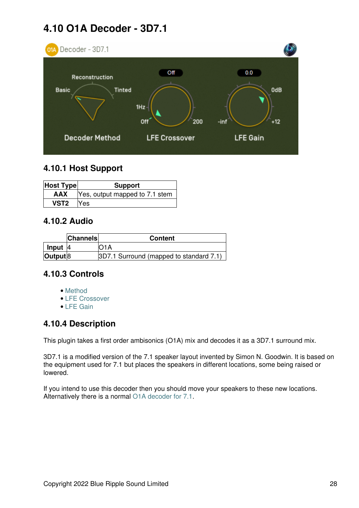## **4.10 O1A Decoder - 3D7.1**

<span id="page-29-0"></span>

## **4.10.1 Host Support**

| <b>Host Type</b> | <b>Support</b>                 |  |
|------------------|--------------------------------|--|
| <b>AAX</b>       | Yes, output mapped to 7.1 stem |  |
| VST <sub>2</sub> | <b>Yes</b>                     |  |

## **4.10.2 Audio**

|                  | <b>Channels</b> | <b>Content</b>                          |
|------------------|-----------------|-----------------------------------------|
| Input 4          |                 |                                         |
| $ $ Output $ 8 $ |                 | 3D7.1 Surround (mapped to standard 7.1) |

## **4.10.3 Controls**

- [Method](#page-30-0)
- [LFE Crossover](#page-31-0)
- [LFE Gain](#page-31-1)

## **4.10.4 Description**

This plugin takes a first order ambisonics (O1A) mix and decodes it as a 3D7.1 surround mix.

3D7.1 is a modified version of the 7.1 speaker layout invented by Simon N. Goodwin. It is based on the equipment used for 7.1 but places the speakers in different locations, some being raised or lowered.

If you intend to use this decoder then you should move your speakers to these new locations. Alternatively there is a normal [O1A decoder for 7.1.](#page-14-0)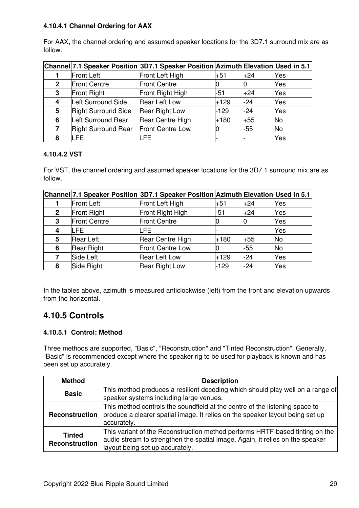#### **4.10.4.1 Channel Ordering for AAX**

For AAX, the channel ordering and assumed speaker locations for the 3D7.1 surround mix are as follow.

|              |                            | Channel 7.1 Speaker Position 3D7.1 Speaker Position Azimuth Elevation Used in 5.1 |        |       |           |
|--------------|----------------------------|-----------------------------------------------------------------------------------|--------|-------|-----------|
|              | <b>Front Left</b>          | Front Left High                                                                   | l+51   | $+24$ | Yes       |
| $\mathbf{2}$ | <b>Front Centre</b>        | <b>Front Centre</b>                                                               |        | Ю     | Yes       |
| 3            | Front Right                | Front Right High                                                                  | -51    | $+24$ | Yes       |
| 4            | Left Surround Side         | <b>Rear Left Low</b>                                                              | $+129$ | $-24$ | Yes       |
| 5            | Right Surround Side        | <b>Rear Right Low</b>                                                             | $-129$ | $-24$ | Yes       |
| 6            | Left Surround Rear         | Rear Centre High                                                                  | $+180$ | $+55$ | <b>No</b> |
|              | <b>Right Surround Rear</b> | Front Centre Low                                                                  |        | $-55$ | <b>No</b> |
| 8            | LFE                        | LFE.                                                                              |        |       | Yes       |

#### **4.10.4.2 VST**

For VST, the channel ordering and assumed speaker locations for the 3D7.1 surround mix are as follow.

|              |                     | Channel 7.1 Speaker Position 3D7.1 Speaker Position Azimuth Elevation Used in 5.1 |        |       |           |
|--------------|---------------------|-----------------------------------------------------------------------------------|--------|-------|-----------|
|              | <b>Front Left</b>   | Front Left High                                                                   | +51    | $+24$ | Yes       |
| $\mathbf{2}$ | Front Right         | Front Right High                                                                  | -51    | $+24$ | Yes       |
| 3            | <b>Front Centre</b> | <b>Front Centre</b>                                                               |        |       | Yes       |
| 4            | LFE.                | LFE.                                                                              |        |       | Yes       |
| 5            | <b>Rear Left</b>    | Rear Centre High                                                                  | +180   | +55   | <b>No</b> |
| 6            | <b>Rear Right</b>   | Front Centre Low                                                                  |        | $-55$ | No        |
|              | Side Left           | <b>Rear Left Low</b>                                                              | $+129$ | $-24$ | Yes       |
| 8            | Side Right          | <b>Rear Right Low</b>                                                             | $-129$ | -24   | Yes       |

In the tables above, azimuth is measured anticlockwise (left) from the front and elevation upwards from the horizontal.

## **4.10.5 Controls**

#### <span id="page-30-0"></span>**4.10.5.1 Control: Method**

Three methods are supported, "Basic", "Reconstruction" and "Tinted Reconstruction". Generally, "Basic" is recommended except where the speaker rig to be used for playback is known and has been set up accurately.

| <b>Method</b>                   | <b>Description</b>                                                                                                                                                                               |
|---------------------------------|--------------------------------------------------------------------------------------------------------------------------------------------------------------------------------------------------|
| <b>Basic</b>                    | This method produces a resilient decoding which should play well on a range of<br>speaker systems including large venues.                                                                        |
| <b>Reconstruction</b>           | This method controls the soundfield at the centre of the listening space to<br>produce a clearer spatial image. It relies on the speaker layout being set up<br>accurately.                      |
| <b>Tinted</b><br>Reconstruction | This variant of the Reconstruction method performs HRTF-based tinting on the<br>audio stream to strengthen the spatial image. Again, it relies on the speaker<br>layout being set up accurately. |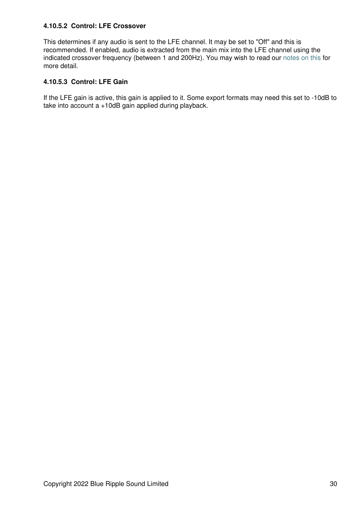#### <span id="page-31-0"></span>**4.10.5.2 Control: LFE Crossover**

This determines if any audio is sent to the LFE channel. It may be set to "Off" and this is recommended. If enabled, audio is extracted from the main mix into the LFE channel using the indicated crossover frequency (between 1 and 200Hz). You may wish to read our [notes on this](#page-4-2) for more detail.

#### <span id="page-31-1"></span>**4.10.5.3 Control: LFE Gain**

If the LFE gain is active, this gain is applied to it. Some export formats may need this set to -10dB to take into account a +10dB gain applied during playback.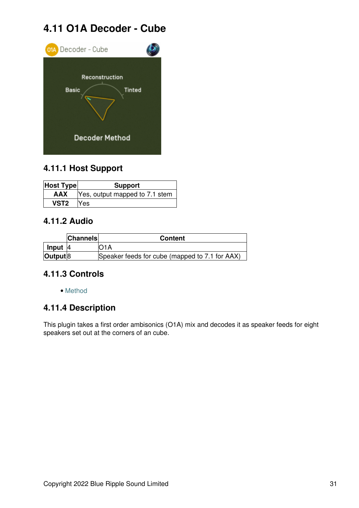## **4.11 O1A Decoder - Cube**

<span id="page-32-0"></span>

## **4.11.1 Host Support**

| <b>Host Type</b> | <b>Support</b>                 |
|------------------|--------------------------------|
| <b>AAX</b>       | Yes, output mapped to 7.1 stem |
| VST <sub>2</sub> | Yes                            |

## **4.11.2 Audio**

|                         | <b>Channels</b> | <b>Content</b>                                 |
|-------------------------|-----------------|------------------------------------------------|
| $\vert$ Input $\vert$ 4 |                 | IO1A                                           |
| $ $ Output $ 8 $        |                 | Speaker feeds for cube (mapped to 7.1 for AAX) |

## **4.11.3 Controls**

• [Method](#page-33-0)

## **4.11.4 Description**

This plugin takes a first order ambisonics (O1A) mix and decodes it as speaker feeds for eight speakers set out at the corners of an cube.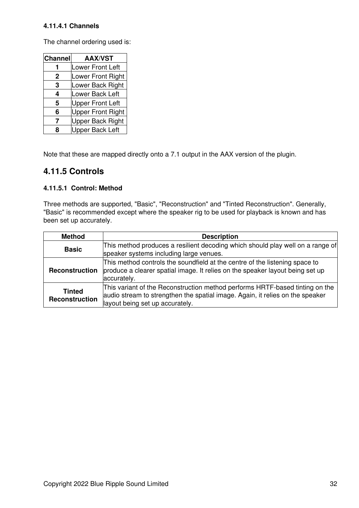#### **4.11.4.1 Channels**

The channel ordering used is:

| <b>Channel</b> | <b>AAX/VST</b>           |
|----------------|--------------------------|
|                | <b>Lower Front Left</b>  |
| 2              | Lower Front Right        |
| 3              | Lower Back Right         |
| 4              | Lower Back Left          |
| 5              | <b>Upper Front Left</b>  |
| 6              | <b>Upper Front Right</b> |
| 7              | <b>Upper Back Right</b>  |
| 8              | <b>Upper Back Left</b>   |

Note that these are mapped directly onto a 7.1 output in the AAX version of the plugin.

## **4.11.5 Controls**

#### <span id="page-33-0"></span>**4.11.5.1 Control: Method**

Three methods are supported, "Basic", "Reconstruction" and "Tinted Reconstruction". Generally, "Basic" is recommended except where the speaker rig to be used for playback is known and has been set up accurately.

| <b>Method</b>                   | <b>Description</b>                                                                                                                                                                               |
|---------------------------------|--------------------------------------------------------------------------------------------------------------------------------------------------------------------------------------------------|
| <b>Basic</b>                    | This method produces a resilient decoding which should play well on a range of<br>speaker systems including large venues.                                                                        |
| Reconstruction                  | This method controls the soundfield at the centre of the listening space to<br>produce a clearer spatial image. It relies on the speaker layout being set up<br>accurately.                      |
| <b>Tinted</b><br>Reconstruction | This variant of the Reconstruction method performs HRTF-based tinting on the<br>audio stream to strengthen the spatial image. Again, it relies on the speaker<br>layout being set up accurately. |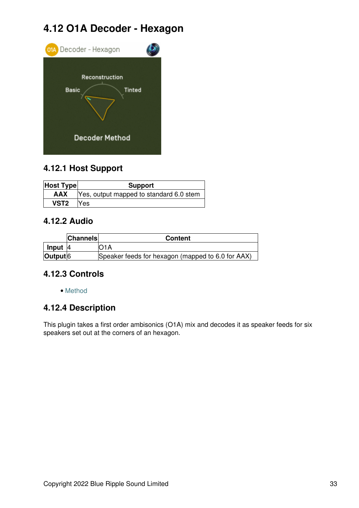## **4.12 O1A Decoder - Hexagon**

<span id="page-34-0"></span>

## **4.12.1 Host Support**

| <b>Host Type</b> | <b>Support</b>                          |  |
|------------------|-----------------------------------------|--|
| <b>AAX</b>       | Yes, output mapped to standard 6.0 stem |  |
| VST <sub>2</sub> | <b>Yes</b>                              |  |

## **4.12.2 Audio**

|                          | <b>Channels</b> | <b>Content</b>                                    |
|--------------------------|-----------------|---------------------------------------------------|
| Input $ 4 $              |                 | D1A                                               |
| $\vert$ Output $\vert$ 6 |                 | Speaker feeds for hexagon (mapped to 6.0 for AAX) |

## **4.12.3 Controls**

• [Method](#page-35-0)

## **4.12.4 Description**

This plugin takes a first order ambisonics (O1A) mix and decodes it as speaker feeds for six speakers set out at the corners of an hexagon.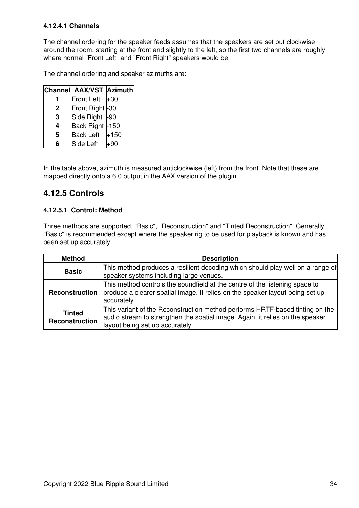#### **4.12.4.1 Channels**

The channel ordering for the speaker feeds assumes that the speakers are set out clockwise around the room, starting at the front and slightly to the left, so the first two channels are roughly where normal "Front Left" and "Front Right" speakers would be.

The channel ordering and speaker azimuths are:

|   | Channel AAX/VST Azimuth |        |
|---|-------------------------|--------|
|   | <b>Front Left</b>       | $+30$  |
| 2 | Front Right -30         |        |
| 3 | Side Right              | l-90   |
| 4 | Back Right -150         |        |
| 5 | <b>Back Left</b>        | $+150$ |
| հ | Side Left               | +90    |

In the table above, azimuth is measured anticlockwise (left) from the front. Note that these are mapped directly onto a 6.0 output in the AAX version of the plugin.

## **4.12.5 Controls**

#### <span id="page-35-0"></span>**4.12.5.1 Control: Method**

Three methods are supported, "Basic", "Reconstruction" and "Tinted Reconstruction". Generally, "Basic" is recommended except where the speaker rig to be used for playback is known and has been set up accurately.

| <b>Method</b>                   | <b>Description</b>                                                                                                                                                                               |  |  |
|---------------------------------|--------------------------------------------------------------------------------------------------------------------------------------------------------------------------------------------------|--|--|
| <b>Basic</b>                    | This method produces a resilient decoding which should play well on a range of<br>speaker systems including large venues.                                                                        |  |  |
| <b>Reconstruction</b>           | This method controls the soundfield at the centre of the listening space to<br>produce a clearer spatial image. It relies on the speaker layout being set up<br>accurately.                      |  |  |
| <b>Tinted</b><br>Reconstruction | This variant of the Reconstruction method performs HRTF-based tinting on the<br>audio stream to strengthen the spatial image. Again, it relies on the speaker<br>layout being set up accurately. |  |  |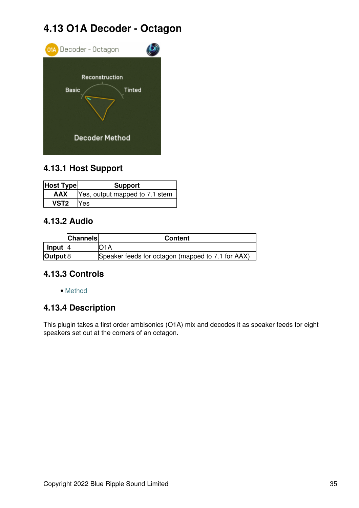## **4.13 O1A Decoder - Octagon**

<span id="page-36-0"></span>

## **4.13.1 Host Support**

| <b>Host Type</b> | <b>Support</b>                 |
|------------------|--------------------------------|
| <b>AAX</b>       | Yes, output mapped to 7.1 stem |
| VST <sub>2</sub> | Yes                            |

## **4.13.2 Audio**

|            | <b>Channels</b> | <b>Content</b>                                    |
|------------|-----------------|---------------------------------------------------|
| Input $ 4$ |                 | IO1A                                              |
| Output 8   |                 | Speaker feeds for octagon (mapped to 7.1 for AAX) |

## **4.13.3 Controls**

• [Method](#page-37-0)

## **4.13.4 Description**

This plugin takes a first order ambisonics (O1A) mix and decodes it as speaker feeds for eight speakers set out at the corners of an octagon.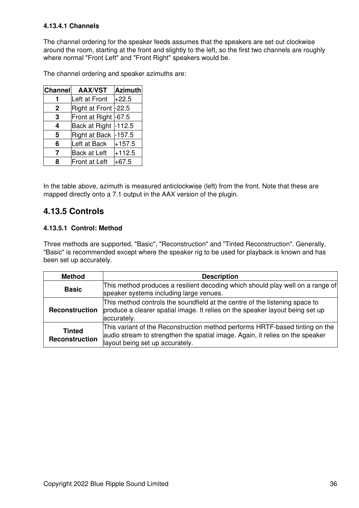#### **4.13.4.1 Channels**

The channel ordering for the speaker feeds assumes that the speakers are set out clockwise around the room, starting at the front and slightly to the left, so the first two channels are roughly where normal "Front Left" and "Front Right" speakers would be.

The channel ordering and speaker azimuths are:

| <b>Channel</b> | <b>AAX/VST</b>       | Azimuth  |
|----------------|----------------------|----------|
| 1              | Left at Front        | +22.5    |
| $\mathbf{2}$   | Right at Front -22.5 |          |
| 3              | Front at Right -67.5 |          |
| 4              | Back at Right -112.5 |          |
| 5              | Right at Back        | $-157.5$ |
| 6              | Left at Back         | $+157.5$ |
| 7              | <b>Back at Left</b>  | $+112.5$ |
| 8              | Front at Left        | $+67.5$  |

In the table above, azimuth is measured anticlockwise (left) from the front. Note that these are mapped directly onto a 7.1 output in the AAX version of the plugin.

### **4.13.5 Controls**

#### <span id="page-37-0"></span>**4.13.5.1 Control: Method**

Three methods are supported, "Basic", "Reconstruction" and "Tinted Reconstruction". Generally, "Basic" is recommended except where the speaker rig to be used for playback is known and has been set up accurately.

| <b>Method</b>                   | <b>Description</b>                                                                                                                                                                               |  |  |
|---------------------------------|--------------------------------------------------------------------------------------------------------------------------------------------------------------------------------------------------|--|--|
| <b>Basic</b>                    | This method produces a resilient decoding which should play well on a range of<br>speaker systems including large venues.                                                                        |  |  |
| <b>Reconstruction</b>           | This method controls the soundfield at the centre of the listening space to<br>produce a clearer spatial image. It relies on the speaker layout being set up<br>accurately.                      |  |  |
| <b>Tinted</b><br>Reconstruction | This variant of the Reconstruction method performs HRTF-based tinting on the<br>audio stream to strengthen the spatial image. Again, it relies on the speaker<br>layout being set up accurately. |  |  |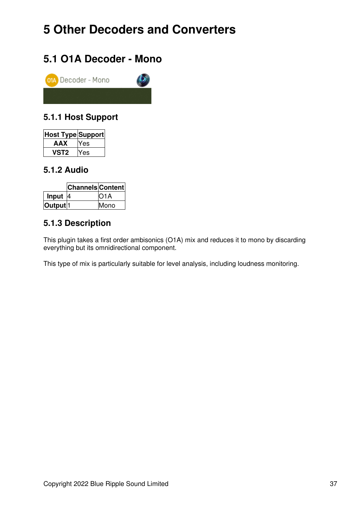## <span id="page-38-0"></span>**5 Other Decoders and Converters**

## <span id="page-38-1"></span>**5.1 O1A Decoder - Mono**



## **5.1.1 Host Support**

| Host Type Support |     |
|-------------------|-----|
| AAX               | Yes |
| 'ST2              | Yes |

## **5.1.2 Audio**

|                     | <b>Channels Content</b> |                   |
|---------------------|-------------------------|-------------------|
| Input               | <u>4</u>                | IO <sub>1</sub> A |
| Output <sup>1</sup> |                         | Mono              |

## **5.1.3 Description**

This plugin takes a first order ambisonics (O1A) mix and reduces it to mono by discarding everything but its omnidirectional component.

This type of mix is particularly suitable for level analysis, including loudness monitoring.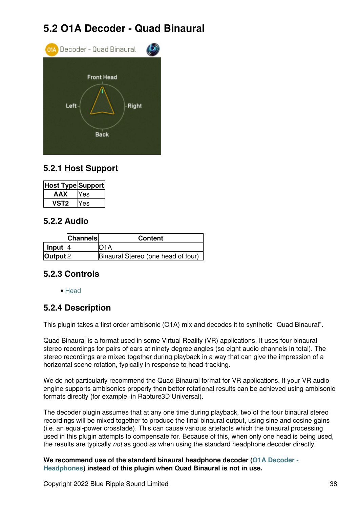## **5.2 O1A Decoder - Quad Binaural**

<span id="page-39-0"></span>

## **5.2.1 Host Support**

| Host Type Support |       |
|-------------------|-------|
| AAX               | Yes   |
| vst2              | res ⁄ |

### **5.2.2 Audio**

|                          | <b>Channels</b> | <b>Content</b>                     |
|--------------------------|-----------------|------------------------------------|
| Input $ 4 $              |                 | IO <sub>1</sub> A                  |
| $\vert$ Output $\vert$ 2 |                 | Binaural Stereo (one head of four) |

## **5.2.3 Controls**

• [Head](#page-40-0)

## **5.2.4 Description**

This plugin takes a first order ambisonic (O1A) mix and decodes it to synthetic "Quad Binaural".

Quad Binaural is a format used in some Virtual Reality (VR) applications. It uses four binaural stereo recordings for pairs of ears at ninety degree angles (so eight audio channels in total). The stereo recordings are mixed together during playback in a way that can give the impression of a horizontal scene rotation, typically in response to head-tracking.

We do not particularly recommend the Quad Binaural format for VR applications. If your VR audio engine supports ambisonics properly then better rotational results can be achieved using ambisonic formats directly (for example, in Rapture3D Universal).

The decoder plugin assumes that at any one time during playback, two of the four binaural stereo recordings will be mixed together to produce the final binaural output, using sine and cosine gains (i.e. an equal-power crossfade). This can cause various artefacts which the binaural processing used in this plugin attempts to compensate for. Because of this, when only one head is being used, the results are typically *not* as good as when using the standard headphone decoder directly.

**We recommend use of the standard binaural headphone decoder ([O1A Decoder -](#page-7-1) [Headphones](#page-7-1)) instead of this plugin when Quad Binaural is not in use.**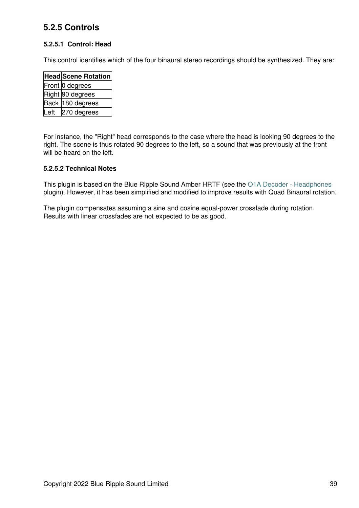## **5.2.5 Controls**

#### <span id="page-40-0"></span>**5.2.5.1 Control: Head**

This control identifies which of the four binaural stereo recordings should be synthesized. They are:

|      | <b>Head Scene Rotation</b> |
|------|----------------------------|
|      | Front 0 degrees            |
|      | Right 90 degrees           |
|      | Back 180 degrees           |
| Left | 270 degrees                |

For instance, the "Right" head corresponds to the case where the head is looking 90 degrees to the right. The scene is thus rotated 90 degrees to the left, so a sound that was previously at the front will be heard on the left.

#### **5.2.5.2 Technical Notes**

This plugin is based on the Blue Ripple Sound Amber HRTF (see the [O1A Decoder - Headphones](#page-7-1) plugin). However, it has been simplified and modified to improve results with Quad Binaural rotation.

The plugin compensates assuming a sine and cosine equal-power crossfade during rotation. Results with linear crossfades are not expected to be as good.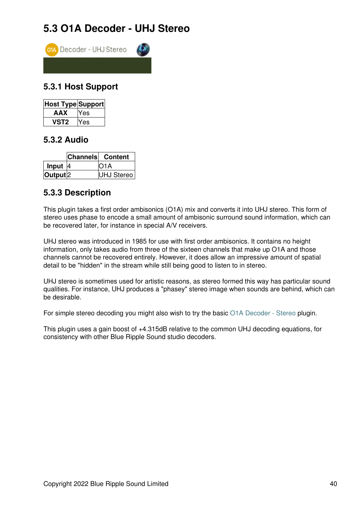## **5.3 O1A Decoder - UHJ Stereo**

<span id="page-41-0"></span>

## **5.3.1 Host Support**

| Host Type Support |     |
|-------------------|-----|
| AAX               | Yes |
| /ST2              | es  |

### **5.3.2 Audio**

|                     | <b>Channels</b> Content |
|---------------------|-------------------------|
| Input $ 4$          | IO1A                    |
| Output <sup>2</sup> | UHJ Stereo              |

## **5.3.3 Description**

This plugin takes a first order ambisonics (O1A) mix and converts it into UHJ stereo. This form of stereo uses phase to encode a small amount of ambisonic surround sound information, which can be recovered later, for instance in special A/V receivers.

UHJ stereo was introduced in 1985 for use with first order ambisonics. It contains no height information, only takes audio from three of the sixteen channels that make up O1A and those channels cannot be recovered entirely. However, it does allow an impressive amount of spatial detail to be "hidden" in the stream while still being good to listen to in stereo.

UHJ stereo is sometimes used for artistic reasons, as stereo formed this way has particular sound qualities. For instance, UHJ produces a "phasey" stereo image when sounds are behind, which can be desirable.

For simple stereo decoding you might also wish to try the basic [O1A Decoder - Stereo](#page-8-1) plugin.

This plugin uses a gain boost of +4.315dB relative to the common UHJ decoding equations, for consistency with other Blue Ripple Sound studio decoders.